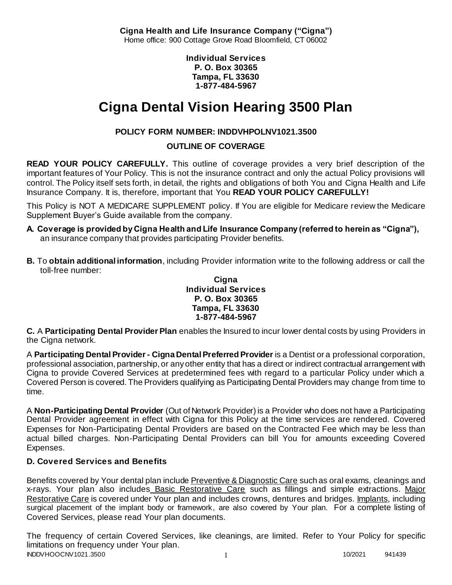**Cigna Health and Life Insurance Company ("Cigna")** Home office: 900 Cottage Grove Road Bloomfield, CT 06002

> **Individual Services P. O. Box 30365 Tampa, FL 33630 1-877-484-5967**

# **Cigna Dental Vision Hearing 3500 Plan**

# **POLICY FORM NUMBER: INDDVHPOLNV1021.3500**

# **OUTLINE OF COVERAGE**

**READ YOUR POLICY CAREFULLY.** This outline of coverage provides a very brief description of the important features of Your Policy. This is not the insurance contract and only the actual Policy provisions will control. The Policy itself sets forth, in detail, the rights and obligations of both You and Cigna Health and Life Insurance Company. It is, therefore, important that You **READ YOUR POLICY CAREFULLY!** 

This Policy is NOT A MEDICARE SUPPLEMENT policy. If You are eligible for Medicare review the Medicare Supplement Buyer's Guide available from the company.

- **A. Coverage is provided by Cigna Health and Life Insurance Company (referred to herein as "Cigna"),**  an insurance company that provides participating Provider benefits.
- **B.** To **obtain additional information**, including Provider information write to the following address or call the toll-free number:

### **Cigna Individual Services P. O. Box 30365 Tampa, FL 33630 1-877-484-5967**

**C.** A **Participating Dental Provider Plan** enables the Insured to incur lower dental costs by using Providers in the Cigna network.

A **Participating Dental Provider - Cigna Dental Preferred Provider** is a Dentist or a professional corporation, professional association, partnership, or any other entity that has a direct or indirect contractual arrangement with Cigna to provide Covered Services at predetermined fees with regard to a particular Policy under which a Covered Person is covered. The Providers qualifying as Participating Dental Providers may change from time to time.

A **Non-Participating Dental Provider** (Out of Network Provider) is a Provider who does not have a Participating Dental Provider agreement in effect with Cigna for this Policy at the time services are rendered. Covered Expenses for Non-Participating Dental Providers are based on the Contracted Fee which may be less than actual billed charges. Non-Participating Dental Providers can bill You for amounts exceeding Covered Expenses.

# **D. Covered Services and Benefits**

Benefits covered by Your dental plan include Preventive & Diagnostic Care such as oral exams, cleanings and x-rays. Your plan also includes Basic Restorative Care such as fillings and simple extractions. Major Restorative Care is covered under Your plan and includes crowns, dentures and bridges. Implants, including surgical placement of the implant body or framework, are also covered by Your plan. For a complete listing of Covered Services, please read Your plan documents.

INDDVHOOCNV1021.3500 1 2020 1 2020 1 2020 1 2020 1 2020 1 2020 1 2020 1 2020 1 2020 1 2020 1 2020 1 2020 1 2020 1 2020 1 2020 1 2020 1 2020 1 2020 1 2020 1 2020 1 2020 1 2020 1 2020 1 2020 1 2020 1 2020 1 2020 1 2020 1 202 The frequency of certain Covered Services, like cleanings, are limited. Refer to Your Policy for specific limitations on frequency under Your plan.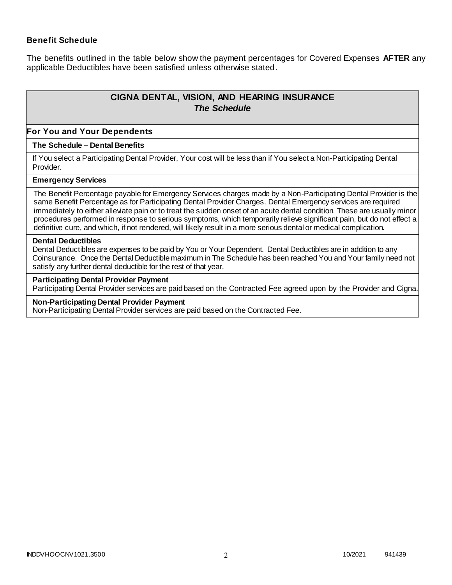### **Benefit Schedule**

The benefits outlined in the table below show the payment percentages for Covered Expenses **AFTER** any applicable Deductibles have been satisfied unless otherwise stated.

# **CIGNA DENTAL, VISION, AND HEARING INSURANCE** *The Schedule*

#### **For You and Your Dependents**

#### **The Schedule – Dental Benefits**

If You select a Participating Dental Provider, Your cost will be less than if You select a Non-Participating Dental Provider.

#### **Emergency Services**

The Benefit Percentage payable for Emergency Services charges made by a Non-Participating Dental Provider is the same Benefit Percentage as for Participating Dental Provider Charges. Dental Emergency services are required immediately to either alleviate pain or to treat the sudden onset of an acute dental condition. These are usually minor procedures performed in response to serious symptoms, which temporarily relieve significant pain, but do not effect a definitive cure, and which, if not rendered, will likely result in a more serious dental or medical complication.

#### **Dental Deductibles**

Dental Deductibles are expenses to be paid by You or Your Dependent. Dental Deductibles are in addition to any Coinsurance. Once the Dental Deductible maximum in The Schedule has been reached You and Your family need not satisfy any further dental deductible for the rest of that year.

#### **Participating Dental Provider Payment**

Participating Dental Provider services are paid based on the Contracted Fee agreed upon by the Provider and Cigna.

#### **Non-Participating Dental Provider Payment**

Non-Participating Dental Provider services are paid based on the Contracted Fee.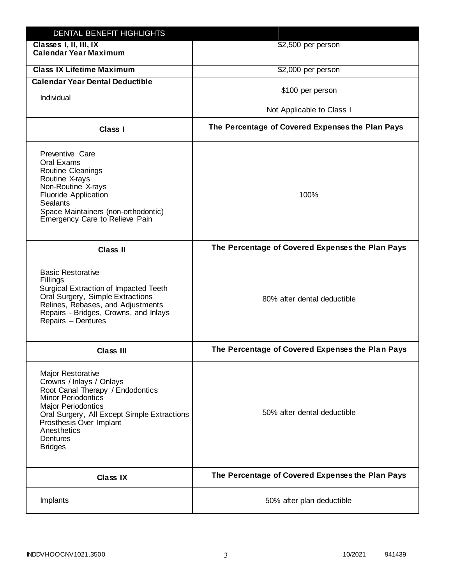| DENTAL BENEFIT HIGHLIGHTS                                                                                                                                                                                                                                                 |                                                  |
|---------------------------------------------------------------------------------------------------------------------------------------------------------------------------------------------------------------------------------------------------------------------------|--------------------------------------------------|
| Classes I, II, III, IX<br><b>Calendar Year Maximum</b>                                                                                                                                                                                                                    | \$2,500 per person                               |
| <b>Class IX Lifetime Maximum</b>                                                                                                                                                                                                                                          | \$2,000 per person                               |
| <b>Calendar Year Dental Deductible</b>                                                                                                                                                                                                                                    |                                                  |
| Individual                                                                                                                                                                                                                                                                | \$100 per person                                 |
|                                                                                                                                                                                                                                                                           | Not Applicable to Class I                        |
| Class I                                                                                                                                                                                                                                                                   | The Percentage of Covered Expenses the Plan Pays |
| Preventive Care<br>Oral Exams<br><b>Routine Cleanings</b><br>Routine X-rays<br>Non-Routine X-rays<br><b>Fluoride Application</b><br><b>Sealants</b><br>Space Maintainers (non-orthodontic)<br>Emergency Care to Relieve Pain                                              | 100%                                             |
| <b>Class II</b>                                                                                                                                                                                                                                                           | The Percentage of Covered Expenses the Plan Pays |
| <b>Basic Restorative</b><br>Fillings<br>Surgical Extraction of Impacted Teeth<br>Oral Surgery, Simple Extractions<br>Relines, Rebases, and Adjustments<br>Repairs - Bridges, Crowns, and Inlays<br>Repairs - Dentures                                                     | 80% after dental deductible                      |
| <b>Class III</b>                                                                                                                                                                                                                                                          | The Percentage of Covered Expenses the Plan Pays |
| <b>Major Restorative</b><br>Crowns / Inlays / Onlays<br>Root Canal Therapy / Endodontics<br><b>Minor Periodontics</b><br><b>Major Periodontics</b><br>Oral Surgery, All Except Simple Extractions<br>Prosthesis Over Implant<br>Anesthetics<br>Dentures<br><b>Bridges</b> | 50% after dental deductible                      |
| <b>Class IX</b>                                                                                                                                                                                                                                                           | The Percentage of Covered Expenses the Plan Pays |
| Implants                                                                                                                                                                                                                                                                  | 50% after plan deductible                        |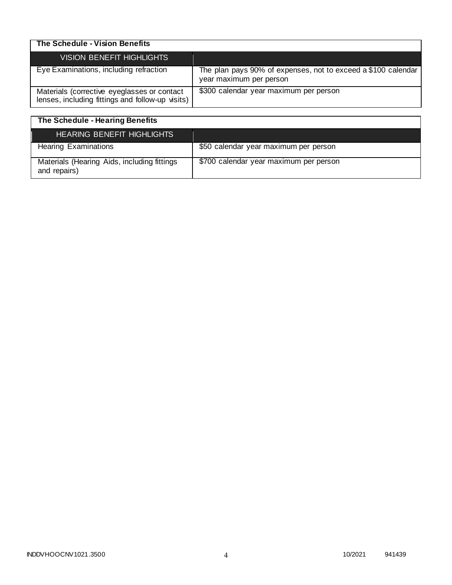| The Schedule - Vision Benefits                                                                  |                                                                                          |
|-------------------------------------------------------------------------------------------------|------------------------------------------------------------------------------------------|
| <b>VISION BENEFIT HIGHLIGHTS</b>                                                                |                                                                                          |
| Eye Examinations, including refraction                                                          | The plan pays 90% of expenses, not to exceed a \$100 calendar<br>year maximum per person |
| Materials (corrective eyeglasses or contact<br>lenses, including fittings and follow-up visits) | \$300 calendar year maximum per person                                                   |

| The Schedule - Hearing Benefits                             |                                        |
|-------------------------------------------------------------|----------------------------------------|
| <b>HEARING BENEFIT HIGHLIGHTS</b>                           |                                        |
| <b>Hearing Examinations</b>                                 | \$50 calendar year maximum per person  |
| Materials (Hearing Aids, including fittings<br>and repairs) | \$700 calendar year maximum per person |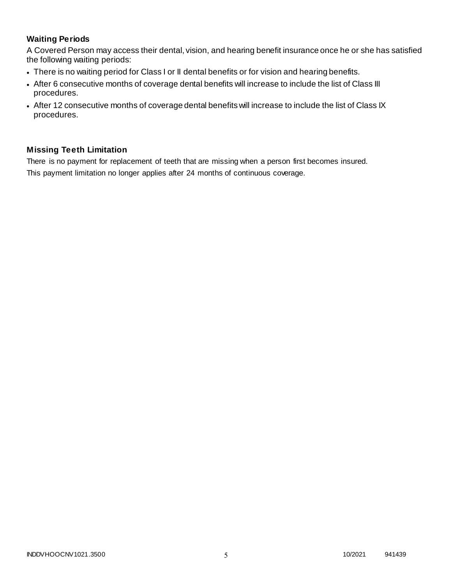# **Waiting Periods**

A Covered Person may access their dental, vision, and hearing benefit insurance once he or she has satisfied the following waiting periods:

- There is no waiting period for Class I or II dental benefits or for vision and hearing benefits.
- After 6 consecutive months of coverage dental benefits will increase to include the list of Class III procedures.
- After 12 consecutive months of coverage dental benefits will increase to include the list of Class IX procedures.

## **Missing Teeth Limitation**

There is no payment for replacement of teeth that are missing when a person first becomes insured. This payment limitation no longer applies after 24 months of continuous coverage.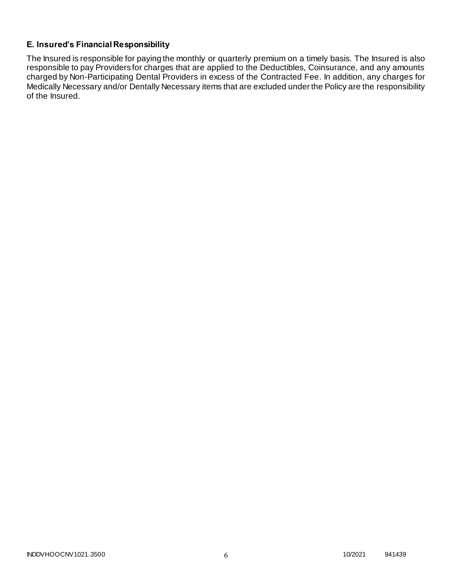## **E. Insured's Financial Responsibility**

The Insured is responsible for paying the monthly or quarterly premium on a timely basis. The Insured is also responsible to pay Providers for charges that are applied to the Deductibles, Coinsurance, and any amounts charged by Non-Participating Dental Providers in excess of the Contracted Fee. In addition, any charges for Medically Necessary and/or Dentally Necessary items that are excluded under the Policy are the responsibility of the Insured.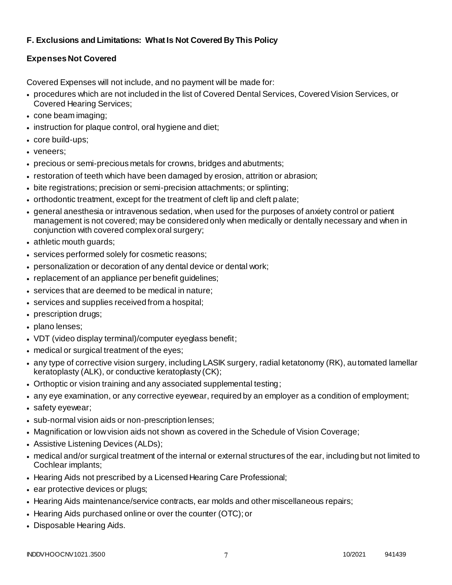# **F. Exclusions and Limitations: What Is Not Covered By This Policy**

# **Expenses Not Covered**

Covered Expenses will not include, and no payment will be made for:

- procedures which are not included in the list of Covered Dental Services, Covered Vision Services, or Covered Hearing Services;
- cone beam imaging;
- instruction for plaque control, oral hygiene and diet;
- core build-ups;
- veneers;
- precious or semi-precious metals for crowns, bridges and abutments;
- restoration of teeth which have been damaged by erosion, attrition or abrasion;
- bite registrations; precision or semi-precision attachments; or splinting;
- orthodontic treatment, except for the treatment of cleft lip and cleft palate;
- general anesthesia or intravenous sedation, when used for the purposes of anxiety control or patient management is not covered; may be considered only when medically or dentally necessary and when in conjunction with covered complex oral surgery;
- athletic mouth guards;
- services performed solely for cosmetic reasons;
- personalization or decoration of any dental device or dental work;
- replacement of an appliance per benefit guidelines;
- services that are deemed to be medical in nature;
- services and supplies received from a hospital;
- prescription drugs;
- plano lenses;
- VDT (video display terminal)/computer eyeglass benefit;
- medical or surgical treatment of the eyes;
- any type of corrective vision surgery, including LASIK surgery, radial ketatonomy (RK), automated lamellar keratoplasty (ALK), or conductive keratoplasty (CK);
- Orthoptic or vision training and any associated supplemental testing;
- any eye examination, or any corrective eyewear, required by an employer as a condition of employment;
- safety eyewear;
- sub-normal vision aids or non-prescription lenses;
- Magnification or low vision aids not shown as covered in the Schedule of Vision Coverage;
- Assistive Listening Devices (ALDs);
- medical and/or surgical treatment of the internal or external structures of the ear, including but not limited to Cochlear implants;
- Hearing Aids not prescribed by a Licensed Hearing Care Professional;
- ear protective devices or plugs;
- Hearing Aids maintenance/service contracts, ear molds and other miscellaneous repairs;
- Hearing Aids purchased online or over the counter (OTC); or
- Disposable Hearing Aids.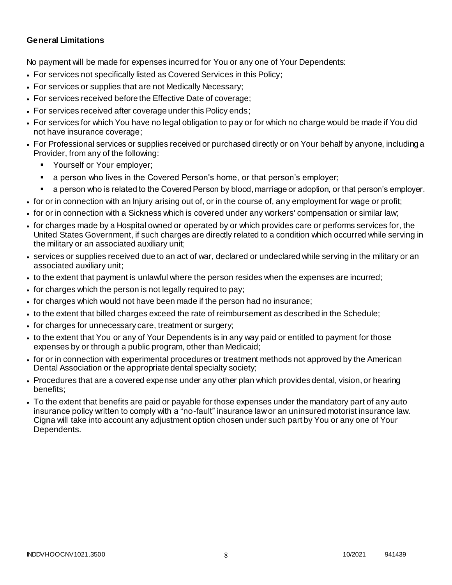### **General Limitations**

No payment will be made for expenses incurred for You or any one of Your Dependents:

- For services not specifically listed as Covered Services in this Policy;
- For services or supplies that are not Medically Necessary;
- For services received before the Effective Date of coverage;
- For services received after coverage under this Policy ends;
- For services for which You have no legal obligation to pay or for which no charge would be made if You did not have insurance coverage;
- For Professional services or supplies received or purchased directly or on Your behalf by anyone, including a Provider, from any of the following:
	- Yourself or Your employer;
	- a person who lives in the Covered Person's home, or that person's employer;
	- a person who is related to the Covered Person by blood, marriage or adoption, or that person's employer.
- for or in connection with an Injury arising out of, or in the course of, any employment for wage or profit;
- for or in connection with a Sickness which is covered under any workers' compensation or similar law;
- for charges made by a Hospital owned or operated by or which provides care or performs services for, the United States Government, if such charges are directly related to a condition which occurred while serving in the military or an associated auxiliary unit;
- services or supplies received due to an act of war, declared or undeclared while serving in the military or an associated auxiliary unit;
- to the extent that payment is unlawful where the person resides when the expenses are incurred;
- for charges which the person is not legally required to pay;
- for charges which would not have been made if the person had no insurance;
- to the extent that billed charges exceed the rate of reimbursement as described in the Schedule;
- for charges for unnecessary care, treatment or surgery;
- to the extent that You or any of Your Dependents is in any way paid or entitled to payment for those expenses by or through a public program, other than Medicaid;
- for or in connection with experimental procedures or treatment methods not approved by the American Dental Association or the appropriate dental specialty society;
- Procedures that are a covered expense under any other plan which provides dental, vision, or hearing benefits;
- To the extent that benefits are paid or payable for those expenses under the mandatory part of any auto insurance policy written to comply with a "no-fault" insurance law or an uninsured motorist insurance law. Cigna will take into account any adjustment option chosen under such part by You or any one of Your Dependents.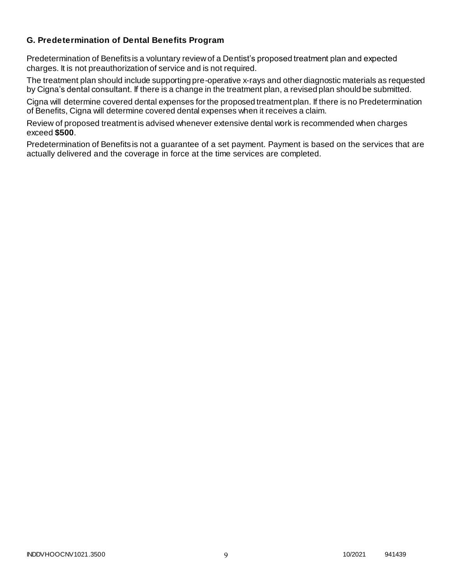### **G. Predetermination of Dental Benefits Program**

Predetermination of Benefits is a voluntary review of a Dentist's proposed treatment plan and expected charges. It is not preauthorization of service and is not required.

The treatment plan should include supporting pre-operative x-rays and other diagnostic materials as requested by Cigna's dental consultant. If there is a change in the treatment plan, a revised plan should be submitted.

Cigna will determine covered dental expenses for the proposed treatment plan. If there is no Predetermination of Benefits, Cigna will determine covered dental expenses when it receives a claim.

Review of proposed treatment is advised whenever extensive dental work is recommended when charges exceed **\$500**.

Predetermination of Benefits is not a guarantee of a set payment. Payment is based on the services that are actually delivered and the coverage in force at the time services are completed.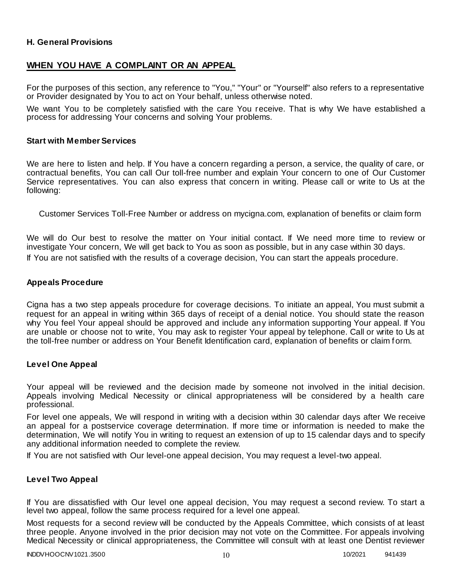### **H. General Provisions**

### **WHEN YOU HAVE A COMPLAINT OR AN APPEAL**

For the purposes of this section, any reference to "You," "Your" or "Yourself" also refers to a representative or Provider designated by You to act on Your behalf, unless otherwise noted.

We want You to be completely satisfied with the care You receive. That is why We have established a process for addressing Your concerns and solving Your problems.

#### **Start with Member Services**

We are here to listen and help. If You have a concern regarding a person, a service, the quality of care, or contractual benefits, You can call Our toll-free number and explain Your concern to one of Our Customer Service representatives. You can also express that concern in writing. Please call or write to Us at the following:

Customer Services Toll-Free Number or address on mycigna.com, explanation of benefits or claim form

We will do Our best to resolve the matter on Your initial contact. If We need more time to review or investigate Your concern, We will get back to You as soon as possible, but in any case within 30 days. If You are not satisfied with the results of a coverage decision, You can start the appeals procedure.

#### **Appeals Procedure**

Cigna has a two step appeals procedure for coverage decisions. To initiate an appeal, You must submit a request for an appeal in writing within 365 days of receipt of a denial notice. You should state the reason why You feel Your appeal should be approved and include any information supporting Your appeal. If You are unable or choose not to write, You may ask to register Your appeal by telephone. Call or write to Us at the toll-free number or address on Your Benefit Identification card, explanation of benefits or claim f orm.

#### **Level One Appeal**

Your appeal will be reviewed and the decision made by someone not involved in the initial decision. Appeals involving Medical Necessity or clinical appropriateness will be considered by a health care professional.

For level one appeals, We will respond in writing with a decision within 30 calendar days after We receive an appeal for a postservice coverage determination. If more time or information is needed to make the determination, We will notify You in writing to request an extension of up to 15 calendar days and to specify any additional information needed to complete the review.

If You are not satisfied with Our level-one appeal decision, You may request a level-two appeal.

### **Level Two Appeal**

If You are dissatisfied with Our level one appeal decision, You may request a second review. To start a level two appeal, follow the same process required for a level one appeal.

Most requests for a second review will be conducted by the Appeals Committee, which consists of at least three people. Anyone involved in the prior decision may not vote on the Committee. For appeals involving Medical Necessity or clinical appropriateness, the Committee will consult with at least one Dentist reviewer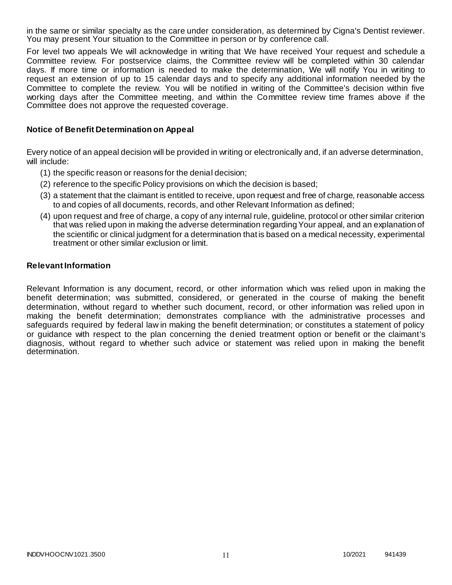in the same or similar specialty as the care under consideration, as determined by Cigna's Dentist reviewer. You may present Your situation to the Committee in person or by conference call.

For level two appeals We will acknowledge in writing that We have received Your request and schedule a Committee review. For postservice claims, the Committee review will be completed within 30 calendar days. If more time or information is needed to make the determination, We will notify You in writing to request an extension of up to 15 calendar days and to specify any additional information needed by the Committee to complete the review. You will be notified in writing of the Committee's decision within five working days after the Committee meeting, and within the Committee review time frames above if the Committee does not approve the requested coverage.

### **Notice of Benefit Determination on Appeal**

Every notice of an appeal decision will be provided in writing or electronically and, if an adverse determination, will include:

- (1) the specific reason or reasons for the denial decision;
- (2) reference to the specific Policy provisions on which the decision is based;
- (3) a statement that the claimant is entitled to receive, upon request and free of charge, reasonable access to and copies of all documents, records, and other Relevant Information as defined;
- (4) upon request and free of charge, a copy of any internal rule, guideline, protocol or other similar criterion that was relied upon in making the adverse determination regarding Your appeal, and an explanation of the scientific or clinical judgment for a determination that is based on a medical necessity, experimental treatment or other similar exclusion or limit.

#### **Relevant Information**

Relevant Information is any document, record, or other information which was relied upon in making the benefit determination; was submitted, considered, or generated in the course of making the benefit determination, without regard to whether such document, record, or other information was relied upon in making the benefit determination; demonstrates compliance with the administrative processes and safeguards required by federal law in making the benefit determination; or constitutes a statement of policy or guidance with respect to the plan concerning the denied treatment option or benefit or the claimant's diagnosis, without regard to whether such advice or statement was relied upon in making the benefit determination.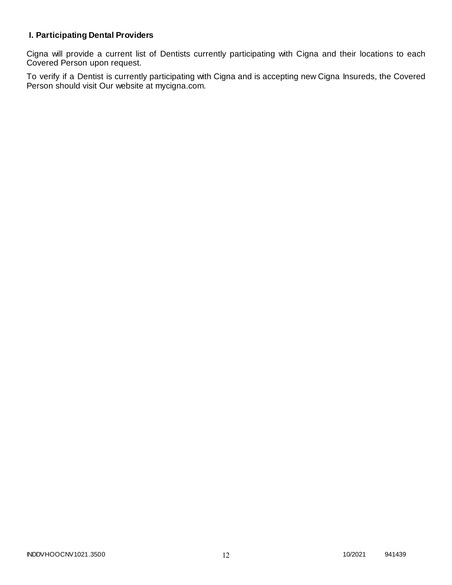# **I. Participating Dental Providers**

Cigna will provide a current list of Dentists currently participating with Cigna and their locations to each Covered Person upon request.

To verify if a Dentist is currently participating with Cigna and is accepting new Cigna Insureds, the Covered Person should visit Our website at mycigna.com.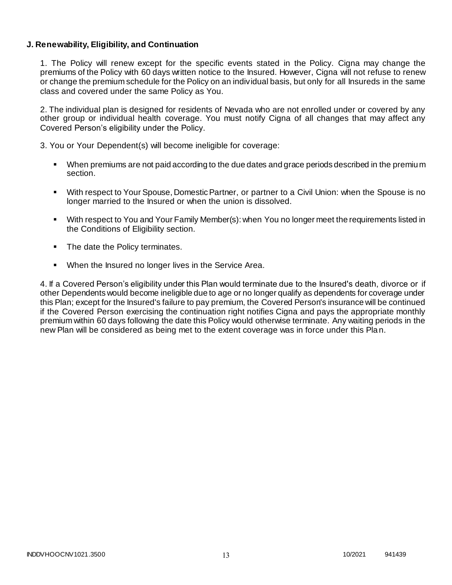### **J. Renewability, Eligibility, and Continuation**

1. The Policy will renew except for the specific events stated in the Policy. Cigna may change the premiums of the Policy with 60 days written notice to the Insured. However, Cigna will not refuse to renew or change the premium schedule for the Policy on an individual basis, but only for all Insureds in the same class and covered under the same Policy as You.

2. The individual plan is designed for residents of Nevada who are not enrolled under or covered by any other group or individual health coverage. You must notify Cigna of all changes that may affect any Covered Person's eligibility under the Policy.

3. You or Your Dependent(s) will become ineligible for coverage:

- When premiums are not paid according to the due dates and grace periods described in the premium section.
- With respect to Your Spouse, Domestic Partner, or partner to a Civil Union: when the Spouse is no longer married to the Insured or when the union is dissolved.
- With respect to You and Your Family Member(s): when You no longer meet the requirements listed in the Conditions of Eligibility section.
- The date the Policy terminates.
- When the Insured no longer lives in the Service Area.

4. If a Covered Person's eligibility under this Plan would terminate due to the Insured's death, divorce or if other Dependents would become ineligible due to age or no longer qualify as dependents for coverage under this Plan; except for the Insured's failure to pay premium, the Covered Person's insurance will be continued if the Covered Person exercising the continuation right notifies Cigna and pays the appropriate monthly premium within 60 days following the date this Policy would otherwise terminate. Any waiting periods in the new Plan will be considered as being met to the extent coverage was in force under this Pla n.